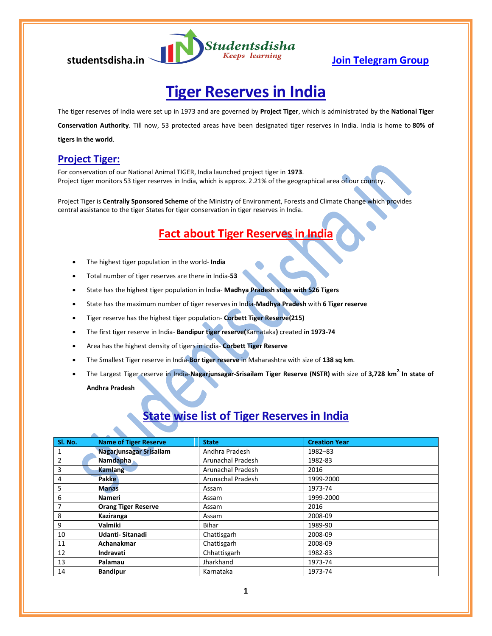

# **Tiger Reserves in India**

The tiger reserves of India were set up in 1973 and are governed by **Project Tiger**, which is administrated by the **National Tiger** 

**Conservation Authority**. Till now, 53 protected areas have been designated tiger reserves in India. India is home to **80% of tigers in the world**.

### **Project Tiger:**

For conservation of our National Animal TIGER, India launched project tiger in **1973**. Project tiger monitors 53 tiger reserves in India, which is approx. 2.21% of the geographical area of our country.

Project Tiger is **Centrally Sponsored Scheme** of the Ministry of Environment, Forests and Climate Change which provides central assistance to the tiger States for tiger conservation in tiger reserves in India.

## **Fact about Tiger Reserves in India**

- The highest tiger population in the world- **India**
- Total number of tiger reserves are there in India-**53**
- State has the highest tiger population in India- **Madhya Pradesh state with 526 Tigers**
- State has the maximum number of tiger reserves in India-**Madhya Pradesh** with **6 Tiger reserve**
- Tiger reserve has the highest tiger population- **Corbett Tiger Reserve(215)**
- The first tiger reserve in India- **Bandipur tiger reserve(**Karnataka**)** created **in 1973-74**
- Area has the highest density of tigers in India- **Corbett Tiger Reserve**
- The Smallest Tiger reserve in India-**Bor tiger reserve** in Maharashtra with size of **138 sq km**.
- The Largest Tiger reserve in India-**Nagarjunsagar-Srisailam Tiger Reserve (NSTR)** with size of **3,728 km2. In state of Andhra Pradesh**

### **State wise list of Tiger Reserves in India**

| Sl. No.        | <b>Name of Tiger Reserve</b> | <b>State</b>      | <b>Creation Year</b> |
|----------------|------------------------------|-------------------|----------------------|
| 1              | Nagarjunsagar Srisailam      | Andhra Pradesh    | 1982-83              |
| $\overline{2}$ | <b>Namdapha</b>              | Arunachal Pradesh | 1982-83              |
| 3              | Kamlang                      | Arunachal Pradesh | 2016                 |
| 4              | <b>Pakke</b>                 | Arunachal Pradesh | 1999-2000            |
| 5              | <b>Manas</b>                 | Assam             | 1973-74              |
| 6              | Nameri                       | Assam             | 1999-2000            |
| 7              | <b>Orang Tiger Reserve</b>   | Assam             | 2016                 |
| 8              | Kaziranga                    | Assam             | 2008-09              |
| 9              | Valmiki                      | Bihar             | 1989-90              |
| 10             | Udanti-Sitanadi              | Chattisgarh       | 2008-09              |
| 11             | Achanakmar                   | Chattisgarh       | 2008-09              |
| 12             | Indravati                    | Chhattisgarh      | 1982-83              |
| 13             | Palamau                      | Jharkhand         | 1973-74              |
| 14             | <b>Bandipur</b>              | Karnataka         | 1973-74              |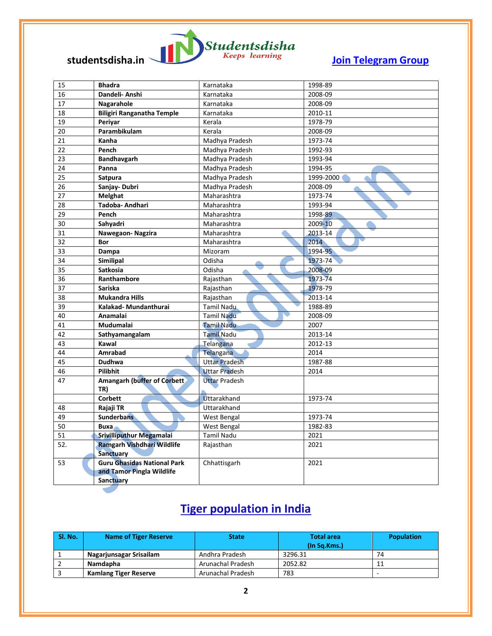

| 15  | <b>Bhadra</b>                       | Karnataka            | 1998-89   |
|-----|-------------------------------------|----------------------|-----------|
| 16  | Dandeli- Anshi                      | Karnataka            | 2008-09   |
| 17  | Nagarahole                          | Karnataka            | 2008-09   |
| 18  | <b>Biligiri Ranganatha Temple</b>   | Karnataka            | 2010-11   |
| 19  | Periyar                             | Kerala               | 1978-79   |
| 20  | Parambikulam                        | Kerala               | 2008-09   |
| 21  | Kanha                               | Madhya Pradesh       | 1973-74   |
| 22  | Pench                               | Madhya Pradesh       | 1992-93   |
| 23  | Bandhavgarh                         | Madhya Pradesh       | 1993-94   |
| 24  | Panna                               | Madhya Pradesh       | 1994-95   |
| 25  | <b>Satpura</b>                      | Madhya Pradesh       | 1999-2000 |
| 26  | Sanjay-Dubri                        | Madhya Pradesh       | 2008-09   |
| 27  | Melghat                             | Maharashtra          | 1973-74   |
| 28  | Tadoba- Andhari                     | Maharashtra          | 1993-94   |
| 29  | Pench                               | Maharashtra          | 1998-89   |
| 30  | Sahyadri                            | Maharashtra          | 2009-10   |
| 31  | Nawegaon-Nagzira                    | Maharashtra          | 2013-14   |
| 32  | Bor                                 | Maharashtra          | 2014      |
| 33  | Dampa                               | Mizoram              | 1994-95   |
| 34  | <b>Similipal</b>                    | Odisha               | 1973-74   |
| 35  | <b>Satkosia</b>                     | Odisha               | 2008-09   |
| 36  | Ranthambore                         | Rajasthan            | 1973-74   |
| 37  | <b>Sariska</b>                      | Rajasthan            | 1978-79   |
| 38  | <b>Mukandra Hills</b>               | Rajasthan            | 2013-14   |
| 39  | Kalakad-Mundanthurai                | Tamil Nadu           | 1988-89   |
| 40  | Anamalai                            | <b>Tamil Nadu</b>    | 2008-09   |
| 41  | <b>Mudumalai</b>                    | <b>Tamil Nadu</b>    | 2007      |
| 42  | Sathyamangalam                      | <b>Tamil Nadu</b>    | 2013-14   |
| 43  | Kawal                               | Telangana            | 2012-13   |
| 44  | <b>Amrabad</b>                      | Telangana            | 2014      |
| 45  | Dudhwa                              | <b>Uttar Pradesh</b> | 1987-88   |
| 46  | <b>Pilibhit</b>                     | <b>Uttar Pradesh</b> | 2014      |
| 47  | <b>Amangarh (buffer of Corbett)</b> | <b>Uttar Pradesh</b> |           |
|     | TR)                                 |                      |           |
|     | <b>Corbett</b>                      | Uttarakhand          | 1973-74   |
| 48  | Rajaji TR                           | Uttarakhand          |           |
| 49  | <b>Sunderbans</b>                   | West Bengal          | 1973-74   |
| 50  | Buxa                                | West Bengal          | 1982-83   |
| 51  | Srivilliputhur Megamalai            | <b>Tamil Nadu</b>    | 2021      |
| 52. | Ramgarh Vishdhari Wildlife          | Rajasthan            | 2021      |
|     | <b>Sanctuary</b>                    |                      |           |
| 53  | <b>Guru Ghasidas National Park</b>  | Chhattisgarh         | 2021      |
|     | and Tamor Pingla Wildlife           |                      |           |
|     | Sanctuary                           |                      |           |

## **Tiger population in India**

| Sl. No. | <b>Name of Tiger Reserve</b> | <b>State</b>      | <b>Total area</b><br>(In Sa.Kms.) | <b>Population</b> |
|---------|------------------------------|-------------------|-----------------------------------|-------------------|
|         | Nagarjunsagar Srisailam      | Andhra Pradesh    | 3296.31                           | 74                |
|         | <b>Namdapha</b>              | Arunachal Pradesh | 2052.82                           |                   |
|         | <b>Kamlang Tiger Reserve</b> | Arunachal Pradesh | 783                               | -                 |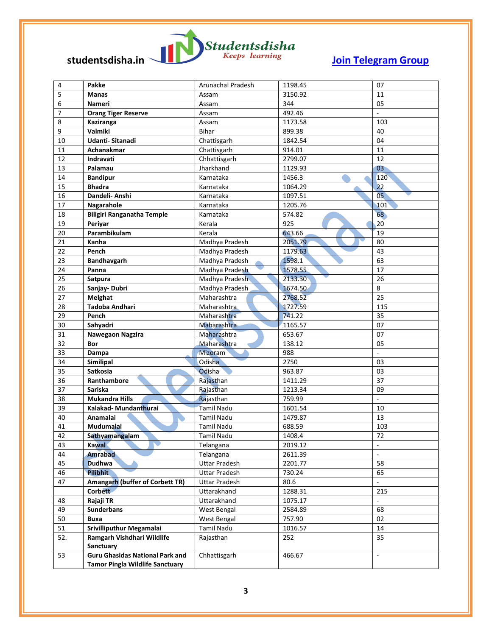

| 4              | Pakke                                  | Arunachal Pradesh    | 1198.45 | 07                       |
|----------------|----------------------------------------|----------------------|---------|--------------------------|
| 5              | <b>Manas</b>                           | Assam                | 3150.92 | 11                       |
| 6              | Nameri                                 | Assam                | 344     | 05                       |
| $\overline{7}$ | <b>Orang Tiger Reserve</b>             | Assam                | 492.46  |                          |
| 8              | Kaziranga                              | Assam                | 1173.58 | 103                      |
| 9              | Valmiki                                | <b>Bihar</b>         | 899.38  | 40                       |
| 10             | Udanti-Sitanadi                        | Chattisgarh          | 1842.54 | 04                       |
| 11             | Achanakmar                             | Chattisgarh          | 914.01  | 11                       |
| 12             | <b>Indravati</b>                       | Chhattisgarh         | 2799.07 | 12                       |
| 13             | Palamau                                | Jharkhand            | 1129.93 | 03                       |
| 14             | <b>Bandipur</b>                        | Karnataka            | 1456.3  | 120                      |
| 15             | <b>Bhadra</b>                          | Karnataka            | 1064.29 | 22                       |
| 16             | Dandeli- Anshi                         | Karnataka            | 1097.51 | 05 <sub>2</sub>          |
| 17             | Nagarahole                             | Karnataka            | 1205.76 | 101                      |
| 18             | <b>Biligiri Ranganatha Temple</b>      | Karnataka            | 574.82  | 68                       |
| 19             | Periyar                                | Kerala               | 925     | 20                       |
| 20             | Parambikulam                           | Kerala               | 643.66  | 19                       |
| 21             | Kanha                                  | Madhya Pradesh       | 2051.79 | 80                       |
| 22             | Pench                                  | Madhya Pradesh       | 1179.63 | 43                       |
| 23             | Bandhavgarh                            | Madhya Pradesh       | 1598.1  | 63                       |
| 24             | Panna                                  | Madhya Pradesh       | 1578.55 | 17                       |
| 25             | <b>Satpura</b>                         | Madhya Pradesh       | 2133.30 | 26                       |
| 26             | Sanjay-Dubri                           | Madhya Pradesh       | 1674.50 | 8                        |
| 27             | <b>Melghat</b>                         | Maharashtra          | 2768.52 | 25                       |
| 28             | <b>Tadoba Andhari</b>                  | Maharashtra          | 1727.59 | 115                      |
| 29             | Pench                                  | Maharashtra          | 741.22  | 35                       |
| 30             | Sahyadri                               | Maharashtra          | 1165.57 | 07                       |
| 31             | Nawegaon Nagzira                       | Maharashtra          | 653.67  | 07                       |
| 32             | <b>Bor</b>                             | Maharashtra          | 138.12  | 05                       |
| 33             | Dampa                                  | Mizoram              | 988     | $\overline{\phantom{a}}$ |
| 34             | Similipal                              | Odisha               | 2750    | 03                       |
| 35             | Satkosia                               | Odisha               | 963.87  | 03                       |
| 36             | Ranthambore                            | Rajasthan            | 1411.29 | 37                       |
| 37             | Sariska                                | Rajasthan            | 1213.34 | 09                       |
| 38             | <b>Mukandra Hills</b>                  | Rajasthan            | 759.99  | ÷,                       |
| 39             | Kalakad- Mundanthurai                  | <b>Tamil Nadu</b>    | 1601.54 | 10                       |
| 40             | Anamalai                               | <b>Tamil Nadu</b>    | 1479.87 | 13                       |
| 41             | Mudumalai                              | <b>Tamil Nadu</b>    | 688.59  | 103                      |
| 42             | Sathyamangalam                         | Tamil Nadu           | 1408.4  | 72                       |
| 43             | <b>Kawal</b>                           | Telangana            | 2019.12 | ÷,                       |
| 44             | <b>Amrabad</b>                         | Telangana            | 2611.39 | $\overline{a}$           |
| 45             | <b>Dudhwa</b>                          | <b>Uttar Pradesh</b> | 2201.77 | 58                       |
| 46             | <b>Pilibhit</b>                        | <b>Uttar Pradesh</b> | 730.24  | 65                       |
| 47             | Amangarh (buffer of Corbett TR)        | <b>Uttar Pradesh</b> | 80.6    |                          |
|                | Corbett                                | Uttarakhand          | 1288.31 | 215                      |
| 48             | Rajaji TR                              | Uttarakhand          | 1075.17 | ä,                       |
| 49             | <b>Sunderbans</b>                      | West Bengal          | 2584.89 | 68                       |
| 50             | Buxa                                   | West Bengal          | 757.90  | 02                       |
| 51             | Srivilliputhur Megamalai               | Tamil Nadu           | 1016.57 | 14                       |
| 52.            | Ramgarh Vishdhari Wildlife             | Rajasthan            | 252     | 35                       |
|                | Sanctuary                              |                      |         |                          |
| 53             | <b>Guru Ghasidas National Park and</b> | Chhattisgarh         | 466.67  | ÷,                       |
|                | <b>Tamor Pingla Wildlife Sanctuary</b> |                      |         |                          |